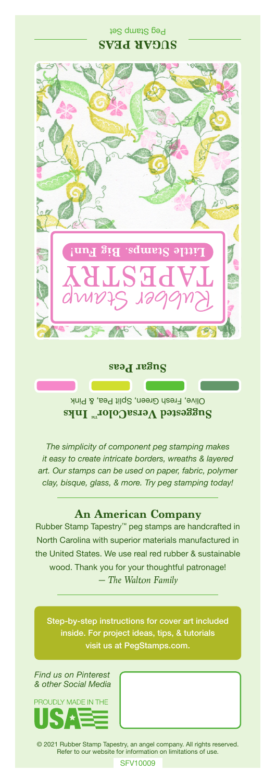## Peg Stamp Set **SUGAR PEAS**



**Sugar Peas**

Olive, Fresh Green, Split Pea, & Pink **Suggested VersaColor** Inks

*The simplicity of component peg stamping makes it easy to create intricate borders, wreaths & layered art. Our stamps can be used on paper, fabric, polymer clay, bisque, glass, & more. Try peg stamping today!*

## **An American Company**

*— The Walton Family* Rubber Stamp Tapestry™ peg stamps are handcrafted in North Carolina with superior materials manufactured in the United States. We use real red rubber & sustainable wood. Thank you for your thoughtful patronage!

Step-by-step instructions for cover art included inside. For project ideas, tips, & tutorials visit us at PegStamps.com.

*Find us on Pinterest & other Social Media*



© 2021 Rubber Stamp Tapestry, an angel company. All rights reserved. Refer to our website for information on limitations of use.